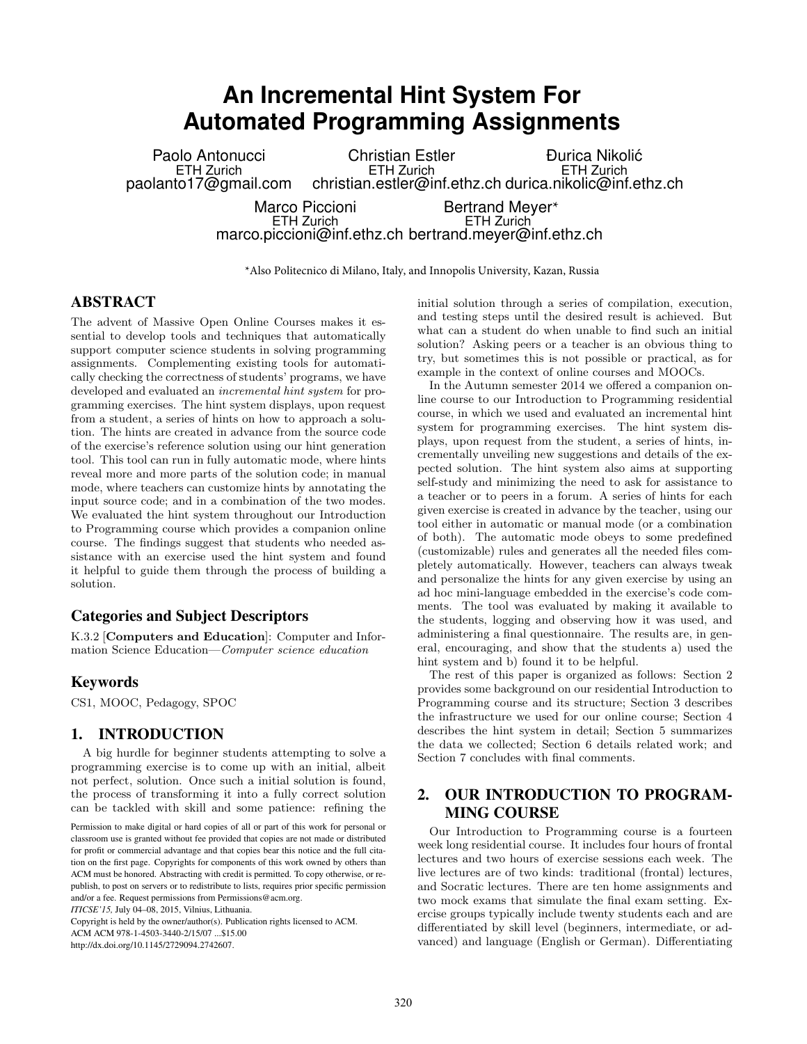# **An Incremental Hint System For Automated Programming Assignments**

Paolo Antonucci ETH Zurich paolanto17@gmail.com Christian Estler ETH Zurich christian.estler@inf.ethz.ch durica.nikolic@inf.ethz.ch Ðurica Nikolic´ ETH Zurich

Marco Piccioni ETH Zurich marco.piccioni@inf.ethz.ch bertrand.meyer@inf.ethz.ch Bertrand Meyer\* ETH Zurich

\*Also Politecnico di Milano, Italy, and Innopolis University, Kazan, Russia

# ABSTRACT

The advent of Massive Open Online Courses makes it essential to develop tools and techniques that automatically support computer science students in solving programming assignments. Complementing existing tools for automatically checking the correctness of students' programs, we have developed and evaluated an incremental hint system for programming exercises. The hint system displays, upon request from a student, a series of hints on how to approach a solution. The hints are created in advance from the source code of the exercise's reference solution using our hint generation tool. This tool can run in fully automatic mode, where hints reveal more and more parts of the solution code; in manual mode, where teachers can customize hints by annotating the input source code; and in a combination of the two modes. We evaluated the hint system throughout our Introduction to Programming course which provides a companion online course. The findings suggest that students who needed assistance with an exercise used the hint system and found it helpful to guide them through the process of building a solution.

# Categories and Subject Descriptors

K.3.2 [Computers and Education]: Computer and Information Science Education—Computer science education

# Keywords

CS1, MOOC, Pedagogy, SPOC

# 1. INTRODUCTION

A big hurdle for beginner students attempting to solve a programming exercise is to come up with an initial, albeit not perfect, solution. Once such a initial solution is found, the process of transforming it into a fully correct solution can be tackled with skill and some patience: refining the

Copyright is held by the owner/author(s). Publication rights licensed to ACM. ACM ACM 978-1-4503-3440-2/15/07 ...\$15.00

http://dx.doi.org/10.1145/2729094.2742607.

initial solution through a series of compilation, execution, and testing steps until the desired result is achieved. But what can a student do when unable to find such an initial solution? Asking peers or a teacher is an obvious thing to try, but sometimes this is not possible or practical, as for example in the context of online courses and MOOCs.

In the Autumn semester 2014 we offered a companion online course to our Introduction to Programming residential course, in which we used and evaluated an incremental hint system for programming exercises. The hint system displays, upon request from the student, a series of hints, incrementally unveiling new suggestions and details of the expected solution. The hint system also aims at supporting self-study and minimizing the need to ask for assistance to a teacher or to peers in a forum. A series of hints for each given exercise is created in advance by the teacher, using our tool either in automatic or manual mode (or a combination of both). The automatic mode obeys to some predefined (customizable) rules and generates all the needed files completely automatically. However, teachers can always tweak and personalize the hints for any given exercise by using an ad hoc mini-language embedded in the exercise's code comments. The tool was evaluated by making it available to the students, logging and observing how it was used, and administering a final questionnaire. The results are, in general, encouraging, and show that the students a) used the hint system and b) found it to be helpful.

The rest of this paper is organized as follows: Section 2 provides some background on our residential Introduction to Programming course and its structure; Section 3 describes the infrastructure we used for our online course; Section 4 describes the hint system in detail; Section 5 summarizes the data we collected; Section 6 details related work; and Section 7 concludes with final comments.

# 2. OUR INTRODUCTION TO PROGRAM-MING COURSE

Our Introduction to Programming course is a fourteen week long residential course. It includes four hours of frontal lectures and two hours of exercise sessions each week. The live lectures are of two kinds: traditional (frontal) lectures, and Socratic lectures. There are ten home assignments and two mock exams that simulate the final exam setting. Exercise groups typically include twenty students each and are differentiated by skill level (beginners, intermediate, or advanced) and language (English or German). Differentiating

Permission to make digital or hard copies of all or part of this work for personal or classroom use is granted without fee provided that copies are not made or distributed for profit or commercial advantage and that copies bear this notice and the full citation on the first page. Copyrights for components of this work owned by others than ACM must be honored. Abstracting with credit is permitted. To copy otherwise, or republish, to post on servers or to redistribute to lists, requires prior specific permission and/or a fee. Request permissions from Permissions@acm.org.

*ITICSE'15,* July 04–08, 2015, Vilnius, Lithuania.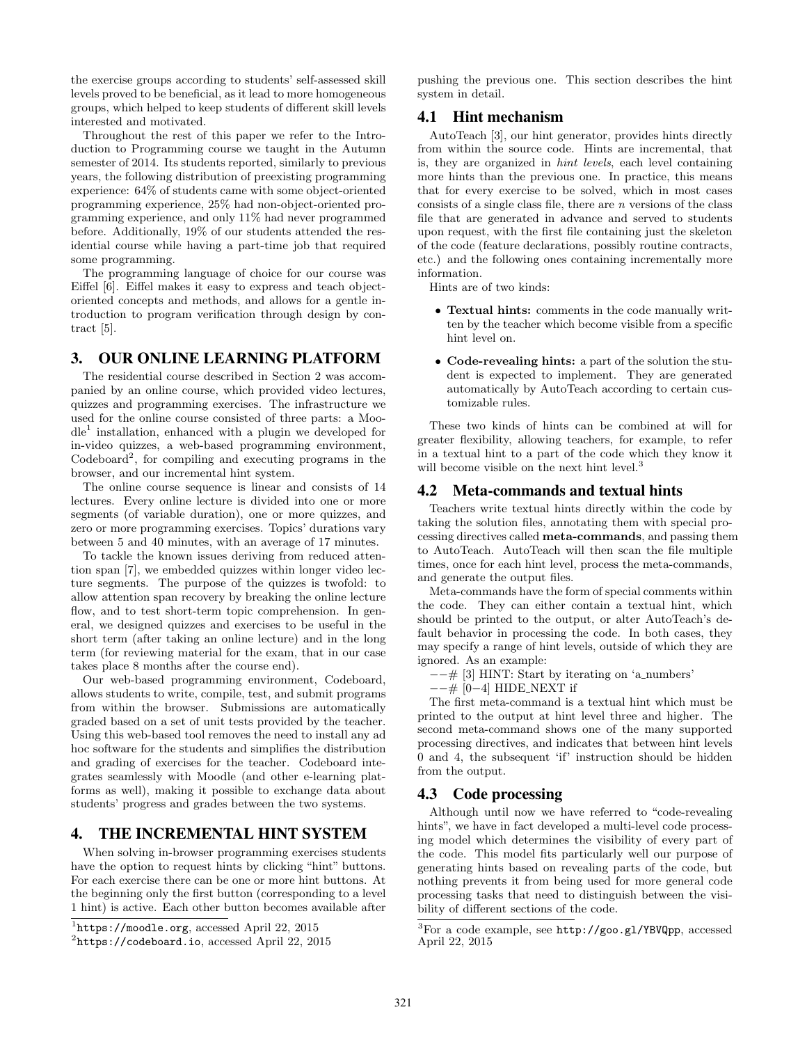the exercise groups according to students' self-assessed skill levels proved to be beneficial, as it lead to more homogeneous groups, which helped to keep students of different skill levels interested and motivated.

Throughout the rest of this paper we refer to the Introduction to Programming course we taught in the Autumn semester of 2014. Its students reported, similarly to previous years, the following distribution of preexisting programming experience: 64% of students came with some object-oriented programming experience, 25% had non-object-oriented programming experience, and only 11% had never programmed before. Additionally, 19% of our students attended the residential course while having a part-time job that required some programming.

The programming language of choice for our course was Eiffel [6]. Eiffel makes it easy to express and teach objectoriented concepts and methods, and allows for a gentle introduction to program verification through design by contract [5].

# 3. OUR ONLINE LEARNING PLATFORM

The residential course described in Section 2 was accompanied by an online course, which provided video lectures, quizzes and programming exercises. The infrastructure we used for the online course consisted of three parts: a Moodle<sup>1</sup> installation, enhanced with a plugin we developed for in-video quizzes, a web-based programming environment, Codeboard<sup>2</sup>, for compiling and executing programs in the browser, and our incremental hint system.

The online course sequence is linear and consists of 14 lectures. Every online lecture is divided into one or more segments (of variable duration), one or more quizzes, and zero or more programming exercises. Topics' durations vary between 5 and 40 minutes, with an average of 17 minutes.

To tackle the known issues deriving from reduced attention span [7], we embedded quizzes within longer video lecture segments. The purpose of the quizzes is twofold: to allow attention span recovery by breaking the online lecture flow, and to test short-term topic comprehension. In general, we designed quizzes and exercises to be useful in the short term (after taking an online lecture) and in the long term (for reviewing material for the exam, that in our case takes place 8 months after the course end).

Our web-based programming environment, Codeboard, allows students to write, compile, test, and submit programs from within the browser. Submissions are automatically graded based on a set of unit tests provided by the teacher. Using this web-based tool removes the need to install any ad hoc software for the students and simplifies the distribution and grading of exercises for the teacher. Codeboard integrates seamlessly with Moodle (and other e-learning platforms as well), making it possible to exchange data about students' progress and grades between the two systems.

#### 4. THE INCREMENTAL HINT SYSTEM

When solving in-browser programming exercises students have the option to request hints by clicking "hint" buttons. For each exercise there can be one or more hint buttons. At the beginning only the first button (corresponding to a level 1 hint) is active. Each other button becomes available after pushing the previous one. This section describes the hint system in detail.

# 4.1 Hint mechanism

AutoTeach [3], our hint generator, provides hints directly from within the source code. Hints are incremental, that is, they are organized in hint levels, each level containing more hints than the previous one. In practice, this means that for every exercise to be solved, which in most cases consists of a single class file, there are  $n$  versions of the class file that are generated in advance and served to students upon request, with the first file containing just the skeleton of the code (feature declarations, possibly routine contracts, etc.) and the following ones containing incrementally more information.

Hints are of two kinds:

- Textual hints: comments in the code manually written by the teacher which become visible from a specific hint level on.
- Code-revealing hints: a part of the solution the student is expected to implement. They are generated automatically by AutoTeach according to certain customizable rules.

These two kinds of hints can be combined at will for greater flexibility, allowing teachers, for example, to refer in a textual hint to a part of the code which they know it will become visible on the next hint level.<sup>3</sup>

# 4.2 Meta-commands and textual hints

Teachers write textual hints directly within the code by taking the solution files, annotating them with special processing directives called meta-commands, and passing them to AutoTeach. AutoTeach will then scan the file multiple times, once for each hint level, process the meta-commands, and generate the output files.

Meta-commands have the form of special comments within the code. They can either contain a textual hint, which should be printed to the output, or alter AutoTeach's default behavior in processing the code. In both cases, they may specify a range of hint levels, outside of which they are ignored. As an example:

−−# [3] HINT: Start by iterating on 'a numbers'

−−# [0−4] HIDE NEXT if

The first meta-command is a textual hint which must be printed to the output at hint level three and higher. The second meta-command shows one of the many supported processing directives, and indicates that between hint levels 0 and 4, the subsequent 'if' instruction should be hidden from the output.

# 4.3 Code processing

Although until now we have referred to "code-revealing hints", we have in fact developed a multi-level code processing model which determines the visibility of every part of the code. This model fits particularly well our purpose of generating hints based on revealing parts of the code, but nothing prevents it from being used for more general code processing tasks that need to distinguish between the visibility of different sections of the code.

<sup>1</sup> https://moodle.org, accessed April 22, 2015

 $^{2}$ https://codeboard.io, accessed April 22, 2015

 ${}^{3}$ For a code example, see http://goo.gl/YBVQpp, accessed April 22, 2015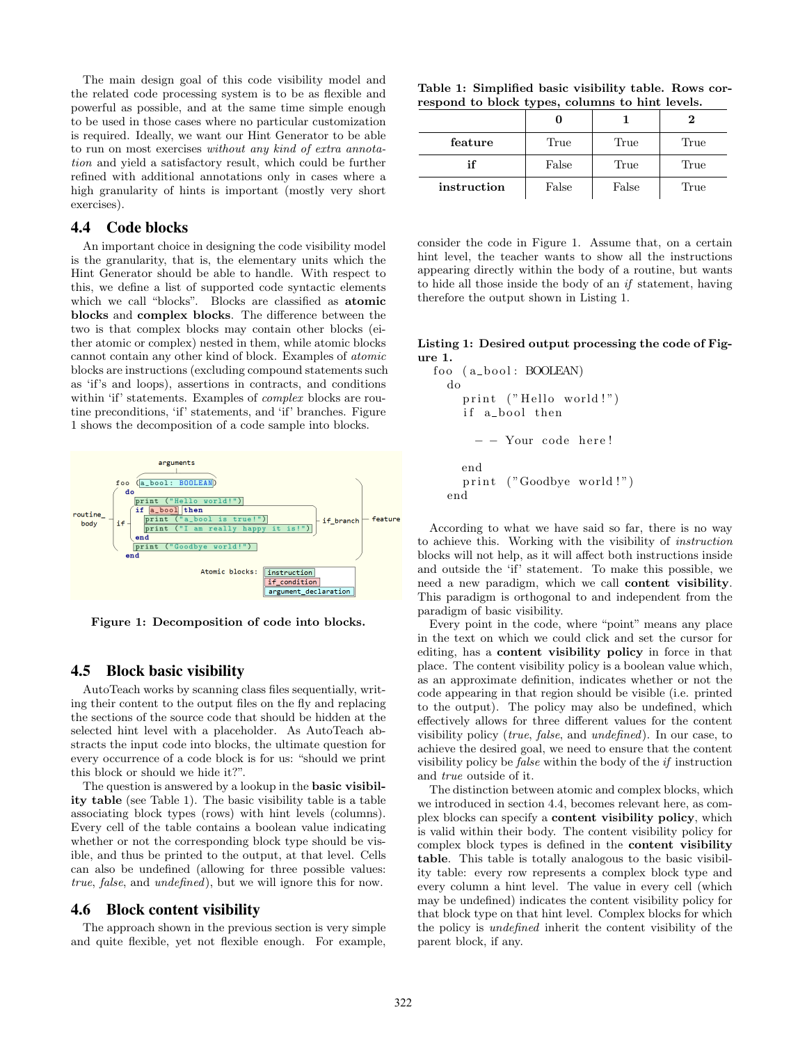The main design goal of this code visibility model and the related code processing system is to be as flexible and powerful as possible, and at the same time simple enough to be used in those cases where no particular customization is required. Ideally, we want our Hint Generator to be able to run on most exercises without any kind of extra annotation and yield a satisfactory result, which could be further refined with additional annotations only in cases where a high granularity of hints is important (mostly very short exercises).

#### 4.4 Code blocks

An important choice in designing the code visibility model is the granularity, that is, the elementary units which the Hint Generator should be able to handle. With respect to this, we define a list of supported code syntactic elements which we call "blocks". Blocks are classified as atomic blocks and complex blocks. The difference between the two is that complex blocks may contain other blocks (either atomic or complex) nested in them, while atomic blocks cannot contain any other kind of block. Examples of atomic blocks are instructions (excluding compound statements such as 'if's and loops), assertions in contracts, and conditions within 'if' statements. Examples of *complex* blocks are routine preconditions, 'if' statements, and 'if' branches. Figure 1 shows the decomposition of a code sample into blocks.



Figure 1: Decomposition of code into blocks.

#### 4.5 Block basic visibility

AutoTeach works by scanning class files sequentially, writing their content to the output files on the fly and replacing the sections of the source code that should be hidden at the selected hint level with a placeholder. As AutoTeach abstracts the input code into blocks, the ultimate question for every occurrence of a code block is for us: "should we print this block or should we hide it?".

The question is answered by a lookup in the **basic visibil**ity table (see Table 1). The basic visibility table is a table associating block types (rows) with hint levels (columns). Every cell of the table contains a boolean value indicating whether or not the corresponding block type should be visible, and thus be printed to the output, at that level. Cells can also be undefined (allowing for three possible values: true, false, and undefined), but we will ignore this for now.

#### 4.6 Block content visibility

The approach shown in the previous section is very simple and quite flexible, yet not flexible enough. For example,

|  | Table 1: Simplified basic visibility table. Rows cor- |  |  |
|--|-------------------------------------------------------|--|--|
|  | respond to block types, columns to hint levels.       |  |  |

| feature     | True  | True  | True |
|-------------|-------|-------|------|
|             | False | True  | True |
| instruction | False | False | True |

consider the code in Figure 1. Assume that, on a certain hint level, the teacher wants to show all the instructions appearing directly within the body of a routine, but wants to hide all those inside the body of an if statement, having therefore the output shown in Listing 1.

Listing 1: Desired output processing the code of Figure 1.

```
foo (a_{\text{p}}. BOOLEAN)do
   print ("Hello world!")
   if a_bool then
     − − Your code here!
   end
   print ("Goodbye world!")
end
```
According to what we have said so far, there is no way to achieve this. Working with the visibility of instruction blocks will not help, as it will affect both instructions inside and outside the 'if' statement. To make this possible, we need a new paradigm, which we call content visibility. This paradigm is orthogonal to and independent from the paradigm of basic visibility.

Every point in the code, where "point" means any place in the text on which we could click and set the cursor for editing, has a content visibility policy in force in that place. The content visibility policy is a boolean value which, as an approximate definition, indicates whether or not the code appearing in that region should be visible (i.e. printed to the output). The policy may also be undefined, which effectively allows for three different values for the content visibility policy (true, false, and undefined). In our case, to achieve the desired goal, we need to ensure that the content visibility policy be false within the body of the if instruction and true outside of it.

The distinction between atomic and complex blocks, which we introduced in section 4.4, becomes relevant here, as complex blocks can specify a content visibility policy, which is valid within their body. The content visibility policy for complex block types is defined in the content visibility table. This table is totally analogous to the basic visibility table: every row represents a complex block type and every column a hint level. The value in every cell (which may be undefined) indicates the content visibility policy for that block type on that hint level. Complex blocks for which the policy is undefined inherit the content visibility of the parent block, if any.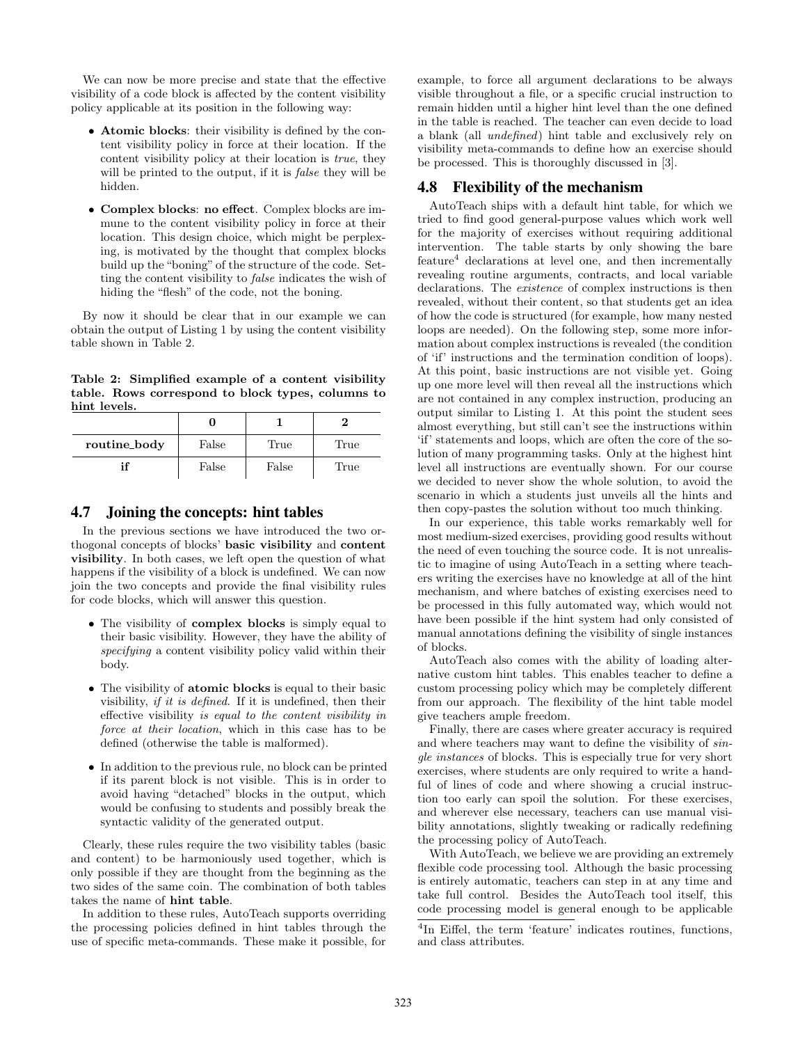We can now be more precise and state that the effective visibility of a code block is affected by the content visibility policy applicable at its position in the following way:

- Atomic blocks: their visibility is defined by the content visibility policy in force at their location. If the content visibility policy at their location is true, they will be printed to the output, if it is false they will be hidden.
- Complex blocks: no effect. Complex blocks are immune to the content visibility policy in force at their location. This design choice, which might be perplexing, is motivated by the thought that complex blocks build up the "boning" of the structure of the code. Setting the content visibility to false indicates the wish of hiding the "flesh" of the code, not the boning.

By now it should be clear that in our example we can obtain the output of Listing 1 by using the content visibility table shown in Table 2.

Table 2: Simplified example of a content visibility table. Rows correspond to block types, columns to hint levels.

| routine_body | False | True  | True |
|--------------|-------|-------|------|
|              | False | False | True |

#### 4.7 Joining the concepts: hint tables

In the previous sections we have introduced the two orthogonal concepts of blocks' basic visibility and content visibility. In both cases, we left open the question of what happens if the visibility of a block is undefined. We can now join the two concepts and provide the final visibility rules for code blocks, which will answer this question.

- The visibility of **complex blocks** is simply equal to their basic visibility. However, they have the ability of specifying a content visibility policy valid within their body.
- The visibility of atomic blocks is equal to their basic visibility, if it is defined. If it is undefined, then their effective visibility is equal to the content visibility in force at their location, which in this case has to be defined (otherwise the table is malformed).
- In addition to the previous rule, no block can be printed if its parent block is not visible. This is in order to avoid having "detached" blocks in the output, which would be confusing to students and possibly break the syntactic validity of the generated output.

Clearly, these rules require the two visibility tables (basic and content) to be harmoniously used together, which is only possible if they are thought from the beginning as the two sides of the same coin. The combination of both tables takes the name of hint table.

In addition to these rules, AutoTeach supports overriding the processing policies defined in hint tables through the use of specific meta-commands. These make it possible, for example, to force all argument declarations to be always visible throughout a file, or a specific crucial instruction to remain hidden until a higher hint level than the one defined in the table is reached. The teacher can even decide to load a blank (all undefined) hint table and exclusively rely on visibility meta-commands to define how an exercise should be processed. This is thoroughly discussed in [3].

### 4.8 Flexibility of the mechanism

AutoTeach ships with a default hint table, for which we tried to find good general-purpose values which work well for the majority of exercises without requiring additional intervention. The table starts by only showing the bare  $f$ eature<sup>4</sup> declarations at level one, and then incrementally revealing routine arguments, contracts, and local variable declarations. The *existence* of complex instructions is then revealed, without their content, so that students get an idea of how the code is structured (for example, how many nested loops are needed). On the following step, some more information about complex instructions is revealed (the condition of 'if' instructions and the termination condition of loops). At this point, basic instructions are not visible yet. Going up one more level will then reveal all the instructions which are not contained in any complex instruction, producing an output similar to Listing 1. At this point the student sees almost everything, but still can't see the instructions within 'if' statements and loops, which are often the core of the solution of many programming tasks. Only at the highest hint level all instructions are eventually shown. For our course we decided to never show the whole solution, to avoid the scenario in which a students just unveils all the hints and then copy-pastes the solution without too much thinking.

In our experience, this table works remarkably well for most medium-sized exercises, providing good results without the need of even touching the source code. It is not unrealistic to imagine of using AutoTeach in a setting where teachers writing the exercises have no knowledge at all of the hint mechanism, and where batches of existing exercises need to be processed in this fully automated way, which would not have been possible if the hint system had only consisted of manual annotations defining the visibility of single instances of blocks.

AutoTeach also comes with the ability of loading alternative custom hint tables. This enables teacher to define a custom processing policy which may be completely different from our approach. The flexibility of the hint table model give teachers ample freedom.

Finally, there are cases where greater accuracy is required and where teachers may want to define the visibility of single instances of blocks. This is especially true for very short exercises, where students are only required to write a handful of lines of code and where showing a crucial instruction too early can spoil the solution. For these exercises, and wherever else necessary, teachers can use manual visibility annotations, slightly tweaking or radically redefining the processing policy of AutoTeach.

With AutoTeach, we believe we are providing an extremely flexible code processing tool. Although the basic processing is entirely automatic, teachers can step in at any time and take full control. Besides the AutoTeach tool itself, this code processing model is general enough to be applicable

<sup>4</sup> In Eiffel, the term 'feature' indicates routines, functions, and class attributes.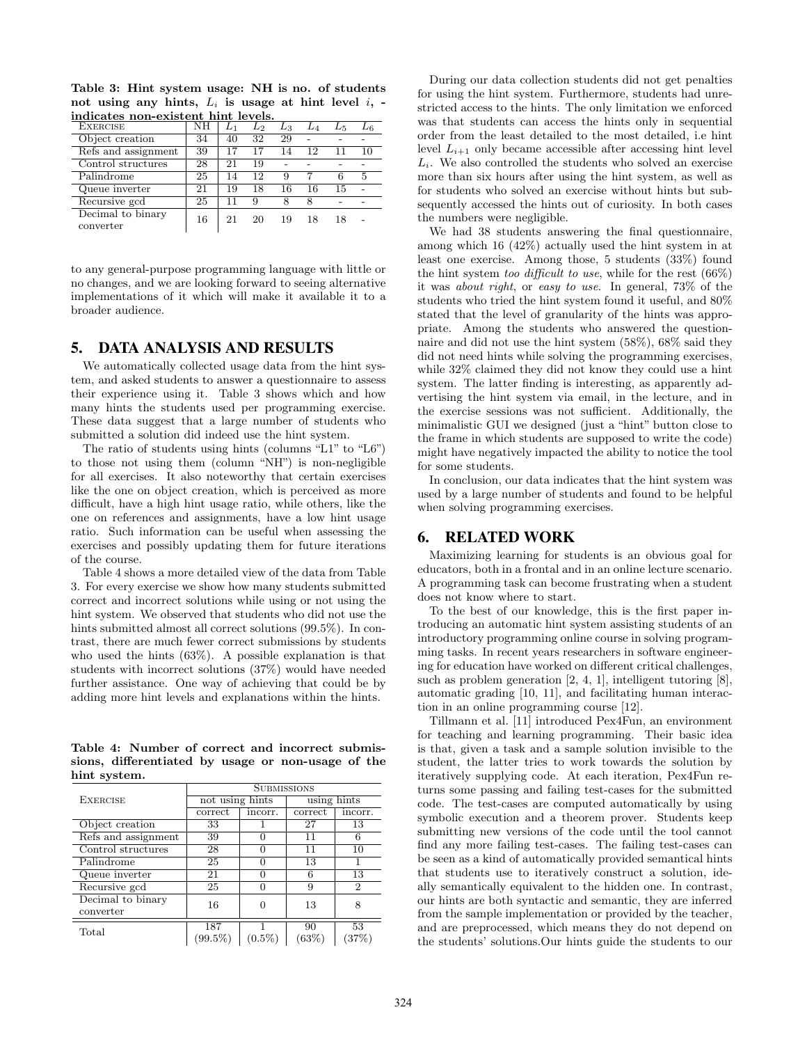Table 3: Hint system usage: NH is no. of students not using any hints,  $L_i$  is usage at hint level  $i$ , indicates non-existent hint levels.

| пцисател поп-елютент ппп тетею. |    |    |       |       |       |         |       |
|---------------------------------|----|----|-------|-------|-------|---------|-------|
| <b>EXERCISE</b>                 | NΗ |    | $L_2$ | $L_3$ | $L_4$ | $L_{5}$ | $L_6$ |
| Object creation                 | 34 | 40 | 32    | 29    |       |         |       |
| Refs and assignment             | 39 | 17 | 17    | 14    | 12    | 11      | 10    |
| Control structures              | 28 | 21 | 19    |       |       |         |       |
| Palindrome                      | 25 | 14 | 12    | 9     |       |         | 5     |
| Queue inverter                  | 21 | 19 | 18    | 16    | 16    | 15      |       |
| Recursive gcd                   | 25 | 11 | 9     | 8     | 8     |         |       |
| Decimal to binary<br>converter  | 16 | 21 | 20    | -19   | 18    | 18      |       |

to any general-purpose programming language with little or no changes, and we are looking forward to seeing alternative implementations of it which will make it available it to a broader audience.

# 5. DATA ANALYSIS AND RESULTS

We automatically collected usage data from the hint system, and asked students to answer a questionnaire to assess their experience using it. Table 3 shows which and how many hints the students used per programming exercise. These data suggest that a large number of students who submitted a solution did indeed use the hint system.

The ratio of students using hints (columns "L1" to "L6") to those not using them (column "NH") is non-negligible for all exercises. It also noteworthy that certain exercises like the one on object creation, which is perceived as more difficult, have a high hint usage ratio, while others, like the one on references and assignments, have a low hint usage ratio. Such information can be useful when assessing the exercises and possibly updating them for future iterations of the course.

Table 4 shows a more detailed view of the data from Table 3. For every exercise we show how many students submitted correct and incorrect solutions while using or not using the hint system. We observed that students who did not use the hints submitted almost all correct solutions (99.5%). In contrast, there are much fewer correct submissions by students who used the hints (63%). A possible explanation is that students with incorrect solutions (37%) would have needed further assistance. One way of achieving that could be by adding more hint levels and explanations within the hints.

Table 4: Number of correct and incorrect submissions, differentiated by usage or non-usage of the hint system.

|                     | <b>SUBMISSIONS</b> |              |                          |         |  |  |  |
|---------------------|--------------------|--------------|--------------------------|---------|--|--|--|
| <b>EXERCISE</b>     | not using hints    |              | $using \overline{hints}$ |         |  |  |  |
|                     | correct            | incorr.      | correct                  | incorr. |  |  |  |
| Object creation     | 33                 |              | 27                       | 13      |  |  |  |
| Refs and assignment | 39                 |              | 11                       | 6       |  |  |  |
| Control structures  | 28                 | $\theta$     | 11                       | 10      |  |  |  |
| Palindrome          | 25                 | $\mathbf{0}$ | 13                       |         |  |  |  |
| Queue inverter      | 21                 | $\mathbf{0}$ | 6                        | 13      |  |  |  |
| Recursive gcd       | 25                 | 0            | 9                        | 2       |  |  |  |
| Decimal to binary   | 16                 |              | 13                       |         |  |  |  |
| converter           |                    |              |                          |         |  |  |  |
| Total               | 187                |              | 90                       | 53      |  |  |  |
|                     | $(99.5\%)$         | $(0.5\%)$    | (63%)                    |         |  |  |  |

During our data collection students did not get penalties for using the hint system. Furthermore, students had unrestricted access to the hints. The only limitation we enforced was that students can access the hints only in sequential order from the least detailed to the most detailed, i.e hint level  $L_{i+1}$  only became accessible after accessing hint level  $L_i$ . We also controlled the students who solved an exercise more than six hours after using the hint system, as well as for students who solved an exercise without hints but subsequently accessed the hints out of curiosity. In both cases the numbers were negligible.

We had 38 students answering the final questionnaire, among which 16 (42%) actually used the hint system in at least one exercise. Among those, 5 students (33%) found the hint system too difficult to use, while for the rest  $(66\%)$ it was about right, or easy to use. In general, 73% of the students who tried the hint system found it useful, and 80% stated that the level of granularity of the hints was appropriate. Among the students who answered the questionnaire and did not use the hint system (58%), 68% said they did not need hints while solving the programming exercises, while 32% claimed they did not know they could use a hint system. The latter finding is interesting, as apparently advertising the hint system via email, in the lecture, and in the exercise sessions was not sufficient. Additionally, the minimalistic GUI we designed (just a "hint" button close to the frame in which students are supposed to write the code) might have negatively impacted the ability to notice the tool for some students.

In conclusion, our data indicates that the hint system was used by a large number of students and found to be helpful when solving programming exercises.

# 6. RELATED WORK

Maximizing learning for students is an obvious goal for educators, both in a frontal and in an online lecture scenario. A programming task can become frustrating when a student does not know where to start.

To the best of our knowledge, this is the first paper introducing an automatic hint system assisting students of an introductory programming online course in solving programming tasks. In recent years researchers in software engineering for education have worked on different critical challenges, such as problem generation [2, 4, 1], intelligent tutoring [8], automatic grading [10, 11], and facilitating human interaction in an online programming course [12].

Tillmann et al. [11] introduced Pex4Fun, an environment for teaching and learning programming. Their basic idea is that, given a task and a sample solution invisible to the student, the latter tries to work towards the solution by iteratively supplying code. At each iteration, Pex4Fun returns some passing and failing test-cases for the submitted code. The test-cases are computed automatically by using symbolic execution and a theorem prover. Students keep submitting new versions of the code until the tool cannot find any more failing test-cases. The failing test-cases can be seen as a kind of automatically provided semantical hints that students use to iteratively construct a solution, ideally semantically equivalent to the hidden one. In contrast, our hints are both syntactic and semantic, they are inferred from the sample implementation or provided by the teacher, and are preprocessed, which means they do not depend on the students' solutions.Our hints guide the students to our